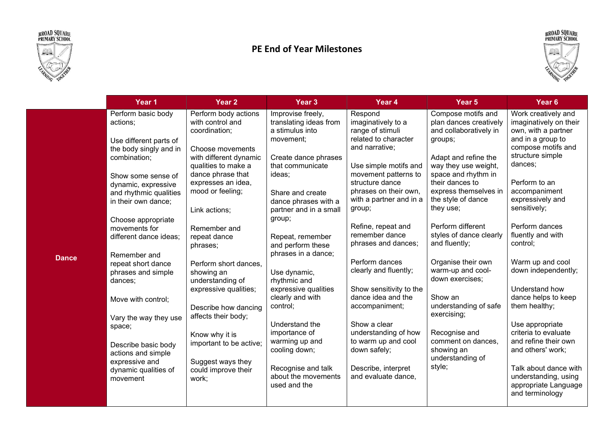



## PE End of Year Milestones



|              | Year 1                                                                                                                                                                                                                                                                                                                                                                                                                                                           | Year <sub>2</sub>                                                                                                                                                                                                                                                                                                                                                                                                                                               | Year <sub>3</sub>                                                                                                                                                                                                                                                                                                                                                                                                                               | Year 4                                                                                                                                                                                                                                                                                                                                                                                                                                                                                    | Year <sub>5</sub>                                                                                                                                                                                                                                                                                                                                                                                                                                                                                  | Year <sub>6</sub>                                                                                                                                                                                                                                                                                                                                                                                                                                                    |
|--------------|------------------------------------------------------------------------------------------------------------------------------------------------------------------------------------------------------------------------------------------------------------------------------------------------------------------------------------------------------------------------------------------------------------------------------------------------------------------|-----------------------------------------------------------------------------------------------------------------------------------------------------------------------------------------------------------------------------------------------------------------------------------------------------------------------------------------------------------------------------------------------------------------------------------------------------------------|-------------------------------------------------------------------------------------------------------------------------------------------------------------------------------------------------------------------------------------------------------------------------------------------------------------------------------------------------------------------------------------------------------------------------------------------------|-------------------------------------------------------------------------------------------------------------------------------------------------------------------------------------------------------------------------------------------------------------------------------------------------------------------------------------------------------------------------------------------------------------------------------------------------------------------------------------------|----------------------------------------------------------------------------------------------------------------------------------------------------------------------------------------------------------------------------------------------------------------------------------------------------------------------------------------------------------------------------------------------------------------------------------------------------------------------------------------------------|----------------------------------------------------------------------------------------------------------------------------------------------------------------------------------------------------------------------------------------------------------------------------------------------------------------------------------------------------------------------------------------------------------------------------------------------------------------------|
| <b>Dance</b> | Perform basic body<br>actions;<br>Use different parts of<br>the body singly and in<br>combination;<br>Show some sense of<br>dynamic, expressive<br>and rhythmic qualities<br>in their own dance;<br>Choose appropriate<br>movements for<br>different dance ideas;<br>Remember and<br>repeat short dance<br>phrases and simple<br>dances;<br>Move with control;<br>Vary the way they use<br>space;<br>Describe basic body<br>actions and simple<br>expressive and | Perform body actions<br>with control and<br>coordination;<br>Choose movements<br>with different dynamic<br>qualities to make a<br>dance phrase that<br>expresses an idea,<br>mood or feeling;<br>Link actions;<br>Remember and<br>repeat dance<br>phrases;<br>Perform short dances,<br>showing an<br>understanding of<br>expressive qualities;<br>Describe how dancing<br>affects their body;<br>Know why it is<br>important to be active;<br>Suggest ways they | Improvise freely,<br>translating ideas from<br>a stimulus into<br>movement;<br>Create dance phrases<br>that communicate<br>ideas;<br>Share and create<br>dance phrases with a<br>partner and in a small<br>group;<br>Repeat, remember<br>and perform these<br>phrases in a dance;<br>Use dynamic,<br>rhythmic and<br>expressive qualities<br>clearly and with<br>control;<br>Understand the<br>importance of<br>warming up and<br>cooling down; | Respond<br>imaginatively to a<br>range of stimuli<br>related to character<br>and narrative:<br>Use simple motifs and<br>movement patterns to<br>structure dance<br>phrases on their own,<br>with a partner and in a<br>group;<br>Refine, repeat and<br>remember dance<br>phrases and dances;<br>Perform dances<br>clearly and fluently;<br>Show sensitivity to the<br>dance idea and the<br>accompaniment;<br>Show a clear<br>understanding of how<br>to warm up and cool<br>down safely; | Compose motifs and<br>plan dances creatively<br>and collaboratively in<br>groups;<br>Adapt and refine the<br>way they use weight,<br>space and rhythm in<br>their dances to<br>express themselves in<br>the style of dance<br>they use;<br>Perform different<br>styles of dance clearly<br>and fluently;<br>Organise their own<br>warm-up and cool-<br>down exercises;<br>Show an<br>understanding of safe<br>exercising;<br>Recognise and<br>comment on dances,<br>showing an<br>understanding of | Work creatively and<br>imaginatively on their<br>own, with a partner<br>and in a group to<br>compose motifs and<br>structure simple<br>dances;<br>Perform to an<br>accompaniment<br>expressively and<br>sensitively;<br>Perform dances<br>fluently and with<br>control;<br>Warm up and cool<br>down independently;<br>Understand how<br>dance helps to keep<br>them healthy;<br>Use appropriate<br>criteria to evaluate<br>and refine their own<br>and others' work; |
|              | dynamic qualities of<br>movement                                                                                                                                                                                                                                                                                                                                                                                                                                 | could improve their<br>work;                                                                                                                                                                                                                                                                                                                                                                                                                                    | Recognise and talk<br>about the movements<br>used and the                                                                                                                                                                                                                                                                                                                                                                                       | Describe, interpret<br>and evaluate dance,                                                                                                                                                                                                                                                                                                                                                                                                                                                | style;                                                                                                                                                                                                                                                                                                                                                                                                                                                                                             | Talk about dance with<br>understanding, using<br>appropriate Language<br>and terminology                                                                                                                                                                                                                                                                                                                                                                             |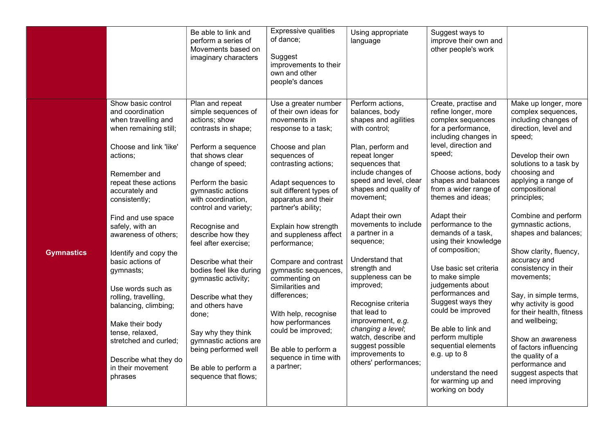|                   |                                                                                                                                                                                                                                                                                                                                                                                                                                                                                                                                 | Be able to link and<br>perform a series of<br>Movements based on<br>imaginary characters                                                                                                                                                                                                                                                                                                                                                                                                                                                             | Expressive qualities<br>of dance;<br>Suggest<br>improvements to their<br>own and other<br>people's dances                                                                                                                                                                                                                                                                                                                                                                                                                                             | Using appropriate<br>language                                                                                                                                                                                                                                                                                                                                                                                                                                                                                                                   | Suggest ways to<br>improve their own and<br>other people's work                                                                                                                                                                                                                                                                                                                                                                                                                                                                                                                                                                      |                                                                                                                                                                                                                                                                                                                                                                                                                                                                                                                                                                                                                 |
|-------------------|---------------------------------------------------------------------------------------------------------------------------------------------------------------------------------------------------------------------------------------------------------------------------------------------------------------------------------------------------------------------------------------------------------------------------------------------------------------------------------------------------------------------------------|------------------------------------------------------------------------------------------------------------------------------------------------------------------------------------------------------------------------------------------------------------------------------------------------------------------------------------------------------------------------------------------------------------------------------------------------------------------------------------------------------------------------------------------------------|-------------------------------------------------------------------------------------------------------------------------------------------------------------------------------------------------------------------------------------------------------------------------------------------------------------------------------------------------------------------------------------------------------------------------------------------------------------------------------------------------------------------------------------------------------|-------------------------------------------------------------------------------------------------------------------------------------------------------------------------------------------------------------------------------------------------------------------------------------------------------------------------------------------------------------------------------------------------------------------------------------------------------------------------------------------------------------------------------------------------|--------------------------------------------------------------------------------------------------------------------------------------------------------------------------------------------------------------------------------------------------------------------------------------------------------------------------------------------------------------------------------------------------------------------------------------------------------------------------------------------------------------------------------------------------------------------------------------------------------------------------------------|-----------------------------------------------------------------------------------------------------------------------------------------------------------------------------------------------------------------------------------------------------------------------------------------------------------------------------------------------------------------------------------------------------------------------------------------------------------------------------------------------------------------------------------------------------------------------------------------------------------------|
| <b>Gymnastics</b> | Show basic control<br>and coordination<br>when travelling and<br>when remaining still;<br>Choose and link 'like'<br>actions;<br>Remember and<br>repeat these actions<br>accurately and<br>consistently;<br>Find and use space<br>safely, with an<br>awareness of others;<br>Identify and copy the<br>basic actions of<br>gymnasts;<br>Use words such as<br>rolling, travelling,<br>balancing, climbing;<br>Make their body<br>tense, relaxed,<br>stretched and curled;<br>Describe what they do<br>in their movement<br>phrases | Plan and repeat<br>simple sequences of<br>actions; show<br>contrasts in shape;<br>Perform a sequence<br>that shows clear<br>change of speed;<br>Perform the basic<br>gymnastic actions<br>with coordination,<br>control and variety;<br>Recognise and<br>describe how they<br>feel after exercise;<br>Describe what their<br>bodies feel like during<br>gymnastic activity;<br>Describe what they<br>and others have<br>done;<br>Say why they think<br>gymnastic actions are<br>being performed well<br>Be able to perform a<br>sequence that flows; | Use a greater number<br>of their own ideas for<br>movements in<br>response to a task;<br>Choose and plan<br>sequences of<br>contrasting actions;<br>Adapt sequences to<br>suit different types of<br>apparatus and their<br>partner's ability;<br>Explain how strength<br>and suppleness affect<br>performance;<br>Compare and contrast<br>gymnastic sequences,<br>commenting on<br>Similarities and<br>differences;<br>With help, recognise<br>how performances<br>could be improved;<br>Be able to perform a<br>sequence in time with<br>a partner; | Perform actions,<br>balances, body<br>shapes and agilities<br>with control;<br>Plan, perform and<br>repeat longer<br>sequences that<br>include changes of<br>speed and level, clear<br>shapes and quality of<br>movement;<br>Adapt their own<br>movements to include<br>a partner in a<br>sequence;<br>Understand that<br>strength and<br>suppleness can be<br>improved;<br>Recognise criteria<br>that lead to<br>improvement, e.g.<br>changing a level;<br>watch, describe and<br>suggest possible<br>improvements to<br>others' performances; | Create, practise and<br>refine longer, more<br>complex sequences<br>for a performance,<br>including changes in<br>level, direction and<br>speed;<br>Choose actions, body<br>shapes and balances<br>from a wider range of<br>themes and ideas;<br>Adapt their<br>performance to the<br>demands of a task,<br>using their knowledge<br>of composition;<br>Use basic set criteria<br>to make simple<br>judgements about<br>performances and<br>Suggest ways they<br>could be improved<br>Be able to link and<br>perform multiple<br>sequential elements<br>e.g. up to 8<br>understand the need<br>for warming up and<br>working on body | Make up longer, more<br>complex sequences,<br>including changes of<br>direction, level and<br>speed;<br>Develop their own<br>solutions to a task by<br>choosing and<br>applying a range of<br>compositional<br>principles;<br>Combine and perform<br>gymnastic actions,<br>shapes and balances;<br>Show clarity, fluency,<br>accuracy and<br>consistency in their<br>movements;<br>Say, in simple terms,<br>why activity is good<br>for their health, fitness<br>and wellbeing;<br>Show an awareness<br>of factors influencing<br>the quality of a<br>performance and<br>suggest aspects that<br>need improving |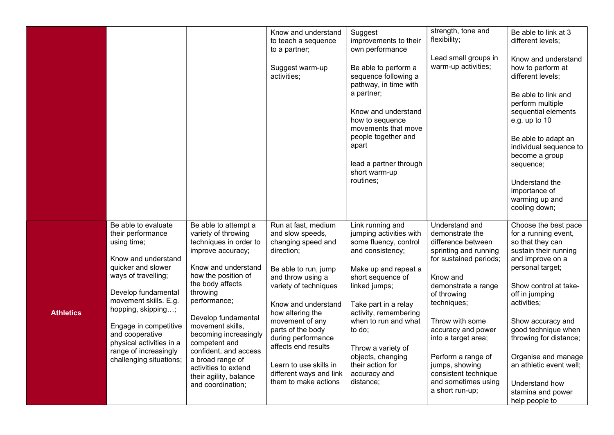|                  |                                                                                                                                                                                                                                                                                                                               |                                                                                                                                                                                                                                                                                                                                                                                                   | Know and understand<br>to teach a sequence<br>to a partner;<br>Suggest warm-up<br>activities;                                                                                                                                                                                                                                                                  | Suggest<br>improvements to their<br>own performance<br>Be able to perform a<br>sequence following a<br>pathway, in time with<br>a partner;<br>Know and understand<br>how to sequence<br>movements that move<br>people together and<br>apart<br>lead a partner through<br>short warm-up<br>routines;                                   | strength, tone and<br>flexibility;<br>Lead small groups in<br>warm-up activities;                                                                                                                                                                                                                                                                     | Be able to link at 3<br>different levels;<br>Know and understand<br>how to perform at<br>different levels;<br>Be able to link and<br>perform multiple<br>sequential elements<br>e.g. up to 10<br>Be able to adapt an<br>individual sequence to<br>become a group<br>sequence;<br>Understand the<br>importance of<br>warming up and<br>cooling down;                          |
|------------------|-------------------------------------------------------------------------------------------------------------------------------------------------------------------------------------------------------------------------------------------------------------------------------------------------------------------------------|---------------------------------------------------------------------------------------------------------------------------------------------------------------------------------------------------------------------------------------------------------------------------------------------------------------------------------------------------------------------------------------------------|----------------------------------------------------------------------------------------------------------------------------------------------------------------------------------------------------------------------------------------------------------------------------------------------------------------------------------------------------------------|---------------------------------------------------------------------------------------------------------------------------------------------------------------------------------------------------------------------------------------------------------------------------------------------------------------------------------------|-------------------------------------------------------------------------------------------------------------------------------------------------------------------------------------------------------------------------------------------------------------------------------------------------------------------------------------------------------|------------------------------------------------------------------------------------------------------------------------------------------------------------------------------------------------------------------------------------------------------------------------------------------------------------------------------------------------------------------------------|
| <b>Athletics</b> | Be able to evaluate<br>their performance<br>using time;<br>Know and understand<br>quicker and slower<br>ways of travelling;<br>Develop fundamental<br>movement skills. E.g.<br>hopping, skipping;<br>Engage in competitive<br>and cooperative<br>physical activities in a<br>range of increasingly<br>challenging situations; | Be able to attempt a<br>variety of throwing<br>techniques in order to<br>improve accuracy;<br>Know and understand<br>how the position of<br>the body affects<br>throwing<br>performance;<br>Develop fundamental<br>movement skills,<br>becoming increasingly<br>competent and<br>confident, and access<br>a broad range of<br>activities to extend<br>their agility, balance<br>and coordination; | Run at fast, medium<br>and slow speeds,<br>changing speed and<br>direction;<br>Be able to run, jump<br>and throw using a<br>variety of techniques<br>Know and understand<br>how altering the<br>movement of any<br>parts of the body<br>during performance<br>affects end results<br>Learn to use skills in<br>different ways and link<br>them to make actions | Link running and<br>jumping activities with<br>some fluency, control<br>and consistency;<br>Make up and repeat a<br>short sequence of<br>linked jumps;<br>Take part in a relay<br>activity, remembering<br>when to run and what<br>to do;<br>Throw a variety of<br>objects, changing<br>their action for<br>accuracy and<br>distance; | Understand and<br>demonstrate the<br>difference between<br>sprinting and running<br>for sustained periods;<br>Know and<br>demonstrate a range<br>of throwing<br>techniques;<br>Throw with some<br>accuracy and power<br>into a target area;<br>Perform a range of<br>jumps, showing<br>consistent technique<br>and sometimes using<br>a short run-up; | Choose the best pace<br>for a running event,<br>so that they can<br>sustain their running<br>and improve on a<br>personal target;<br>Show control at take-<br>off in jumping<br>activities;<br>Show accuracy and<br>good technique when<br>throwing for distance;<br>Organise and manage<br>an athletic event well;<br>Understand how<br>stamina and power<br>help people to |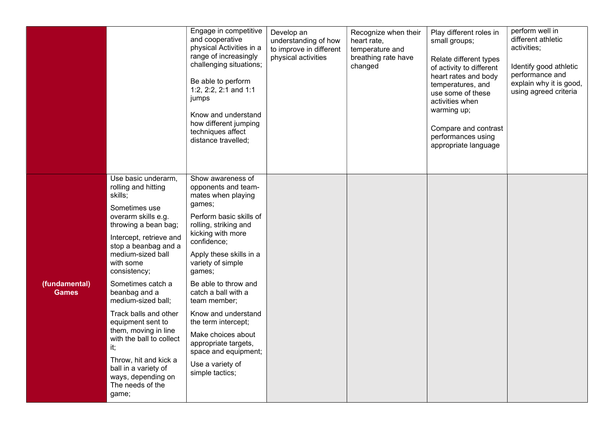|                               |                                                                                                                                                                                                                                                                                                                                                                                                                                                                                                     | Engage in competitive<br>and cooperative<br>physical Activities in a<br>range of increasingly<br>challenging situations;<br>Be able to perform<br>1:2, 2:2, 2:1 and 1:1<br>jumps<br>Know and understand<br>how different jumping<br>techniques affect<br>distance travelled;                                                                                                                                                                         | Develop an<br>understanding of how<br>to improve in different<br>physical activities | Recognize when their<br>heart rate,<br>temperature and<br>breathing rate have<br>changed | Play different roles in<br>small groups;<br>Relate different types<br>of activity to different<br>heart rates and body<br>temperatures, and<br>use some of these<br>activities when<br>warming up;<br>Compare and contrast<br>performances using<br>appropriate language | perform well in<br>different athletic<br>activities;<br>Identify good athletic<br>performance and<br>explain why it is good,<br>using agreed criteria |
|-------------------------------|-----------------------------------------------------------------------------------------------------------------------------------------------------------------------------------------------------------------------------------------------------------------------------------------------------------------------------------------------------------------------------------------------------------------------------------------------------------------------------------------------------|------------------------------------------------------------------------------------------------------------------------------------------------------------------------------------------------------------------------------------------------------------------------------------------------------------------------------------------------------------------------------------------------------------------------------------------------------|--------------------------------------------------------------------------------------|------------------------------------------------------------------------------------------|--------------------------------------------------------------------------------------------------------------------------------------------------------------------------------------------------------------------------------------------------------------------------|-------------------------------------------------------------------------------------------------------------------------------------------------------|
| (fundamental)<br><b>Games</b> | Use basic underarm,<br>rolling and hitting<br>skills;<br>Sometimes use<br>overarm skills e.g.<br>throwing a bean bag;<br>Intercept, retrieve and<br>stop a beanbag and a<br>medium-sized ball<br>with some<br>consistency;<br>Sometimes catch a<br>beanbag and a<br>medium-sized ball;<br>Track balls and other<br>equipment sent to<br>them, moving in line<br>with the ball to collect<br>it;<br>Throw, hit and kick a<br>ball in a variety of<br>ways, depending on<br>The needs of the<br>game; | Show awareness of<br>opponents and team-<br>mates when playing<br>games;<br>Perform basic skills of<br>rolling, striking and<br>kicking with more<br>confidence;<br>Apply these skills in a<br>variety of simple<br>games;<br>Be able to throw and<br>catch a ball with a<br>team member;<br>Know and understand<br>the term intercept;<br>Make choices about<br>appropriate targets,<br>space and equipment;<br>Use a variety of<br>simple tactics; |                                                                                      |                                                                                          |                                                                                                                                                                                                                                                                          |                                                                                                                                                       |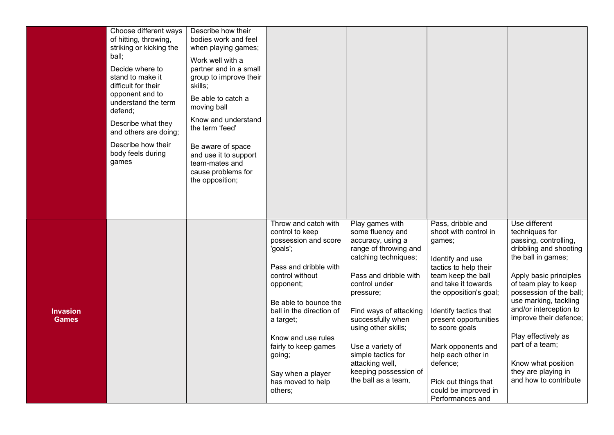|                                 | Choose different ways<br>of hitting, throwing,<br>striking or kicking the<br>ball;<br>Decide where to<br>stand to make it<br>difficult for their<br>opponent and to<br>understand the term<br>defend;<br>Describe what they<br>and others are doing;<br>Describe how their<br>body feels during<br>games | Describe how their<br>bodies work and feel<br>when playing games;<br>Work well with a<br>partner and in a small<br>group to improve their<br>skills;<br>Be able to catch a<br>moving ball<br>Know and understand<br>the term 'feed'<br>Be aware of space<br>and use it to support<br>team-mates and<br>cause problems for<br>the opposition; |                                                                                                                                                                                                                                                                                                                     |                                                                                                                                                                                                                                                                                                                                                     |                                                                                                                                                                                                                                                                                                                                                                          |                                                                                                                                                                                                                                                                                                                                                                                    |
|---------------------------------|----------------------------------------------------------------------------------------------------------------------------------------------------------------------------------------------------------------------------------------------------------------------------------------------------------|----------------------------------------------------------------------------------------------------------------------------------------------------------------------------------------------------------------------------------------------------------------------------------------------------------------------------------------------|---------------------------------------------------------------------------------------------------------------------------------------------------------------------------------------------------------------------------------------------------------------------------------------------------------------------|-----------------------------------------------------------------------------------------------------------------------------------------------------------------------------------------------------------------------------------------------------------------------------------------------------------------------------------------------------|--------------------------------------------------------------------------------------------------------------------------------------------------------------------------------------------------------------------------------------------------------------------------------------------------------------------------------------------------------------------------|------------------------------------------------------------------------------------------------------------------------------------------------------------------------------------------------------------------------------------------------------------------------------------------------------------------------------------------------------------------------------------|
| <b>Invasion</b><br><b>Games</b> |                                                                                                                                                                                                                                                                                                          |                                                                                                                                                                                                                                                                                                                                              | Throw and catch with<br>control to keep<br>possession and score<br>'goals';<br>Pass and dribble with<br>control without<br>opponent;<br>Be able to bounce the<br>ball in the direction of<br>a target;<br>Know and use rules<br>fairly to keep games<br>going;<br>Say when a player<br>has moved to help<br>others; | Play games with<br>some fluency and<br>accuracy, using a<br>range of throwing and<br>catching techniques;<br>Pass and dribble with<br>control under<br>pressure;<br>Find ways of attacking<br>successfully when<br>using other skills;<br>Use a variety of<br>simple tactics for<br>attacking well,<br>keeping possession of<br>the ball as a team, | Pass, dribble and<br>shoot with control in<br>games;<br>Identify and use<br>tactics to help their<br>team keep the ball<br>and take it towards<br>the opposition's goal;<br>Identify tactics that<br>present opportunities<br>to score goals<br>Mark opponents and<br>help each other in<br>defence;<br>Pick out things that<br>could be improved in<br>Performances and | Use different<br>techniques for<br>passing, controlling,<br>dribbling and shooting<br>the ball in games;<br>Apply basic principles<br>of team play to keep<br>possession of the ball;<br>use marking, tackling<br>and/or interception to<br>improve their defence;<br>Play effectively as<br>part of a team;<br>Know what position<br>they are playing in<br>and how to contribute |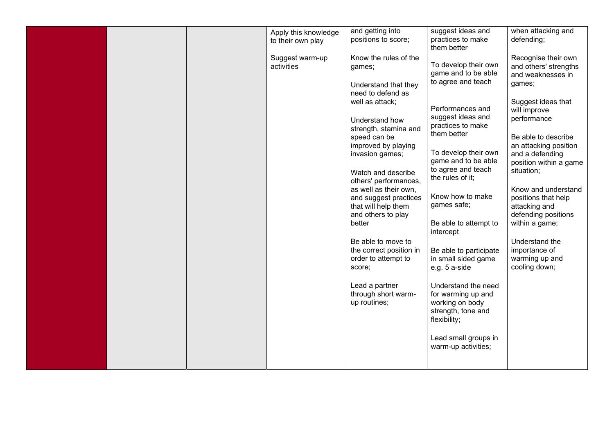|  | Apply this knowledge          | and getting into                                                      | suggest ideas and                                                 | when attacking and                                                |
|--|-------------------------------|-----------------------------------------------------------------------|-------------------------------------------------------------------|-------------------------------------------------------------------|
|  | to their own play             | positions to score;                                                   | practices to make<br>them better                                  | defending;                                                        |
|  | Suggest warm-up<br>activities | Know the rules of the<br>games;                                       | To develop their own<br>game and to be able                       | Recognise their own<br>and others' strengths<br>and weaknesses in |
|  |                               | Understand that they<br>need to defend as                             | to agree and teach                                                | games;                                                            |
|  |                               | well as attack;                                                       | Performances and                                                  | Suggest ideas that<br>will improve                                |
|  |                               | Understand how<br>strength, stamina and                               | suggest ideas and<br>practices to make                            | performance                                                       |
|  |                               | speed can be<br>improved by playing                                   | them better                                                       | Be able to describe<br>an attacking position                      |
|  |                               | invasion games;                                                       | To develop their own<br>game and to be able<br>to agree and teach | and a defending<br>position within a game                         |
|  |                               | Watch and describe<br>others' performances,                           | the rules of it;                                                  | situation;                                                        |
|  |                               | as well as their own.<br>and suggest practices<br>that will help them | Know how to make<br>games safe;                                   | Know and understand<br>positions that help<br>attacking and       |
|  |                               | and others to play<br>better                                          | Be able to attempt to                                             | defending positions<br>within a game;                             |
|  |                               | Be able to move to                                                    | intercept                                                         | Understand the                                                    |
|  |                               | the correct position in<br>order to attempt to                        | Be able to participate<br>in small sided game                     | importance of<br>warming up and                                   |
|  |                               | score;                                                                | e.g. 5 a-side                                                     | cooling down;                                                     |
|  |                               | Lead a partner<br>through short warm-                                 | Understand the need<br>for warming up and                         |                                                                   |
|  |                               | up routines;                                                          | working on body<br>strength, tone and                             |                                                                   |
|  |                               |                                                                       | flexibility;                                                      |                                                                   |
|  |                               |                                                                       | Lead small groups in<br>warm-up activities;                       |                                                                   |
|  |                               |                                                                       |                                                                   |                                                                   |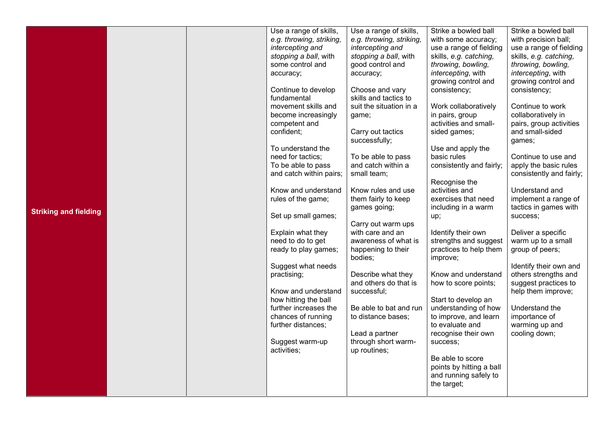|                              |  | Use a range of skills,   | Use a range of skills,   | Strike a bowled ball     | Strike a bowled ball     |
|------------------------------|--|--------------------------|--------------------------|--------------------------|--------------------------|
|                              |  | e.g. throwing, striking, | e.g. throwing, striking, | with some accuracy;      | with precision ball;     |
|                              |  | intercepting and         | intercepting and         | use a range of fielding  | use a range of fielding  |
|                              |  | stopping a ball, with    | stopping a ball, with    | skills, e.g. catching,   | skills, e.g. catching,   |
|                              |  | some control and         | good control and         | throwing, bowling,       | throwing, bowling,       |
|                              |  | accuracy;                | accuracy;                | intercepting, with       | intercepting, with       |
|                              |  |                          |                          | growing control and      | growing control and      |
|                              |  | Continue to develop      | Choose and vary          | consistency;             | consistency;             |
|                              |  | fundamental              | skills and tactics to    |                          |                          |
|                              |  | movement skills and      | suit the situation in a  | Work collaboratively     | Continue to work         |
|                              |  | become increasingly      | game;                    | in pairs, group          | collaboratively in       |
|                              |  | competent and            |                          | activities and small-    | pairs, group activities  |
|                              |  | confident;               | Carry out tactics        | sided games;             | and small-sided          |
|                              |  |                          | successfully;            |                          | games;                   |
|                              |  | To understand the        |                          | Use and apply the        |                          |
|                              |  | need for tactics;        | To be able to pass       | basic rules              | Continue to use and      |
|                              |  | To be able to pass       | and catch within a       | consistently and fairly; | apply the basic rules    |
|                              |  | and catch within pairs;  | small team;              |                          | consistently and fairly; |
|                              |  |                          |                          | Recognise the            |                          |
|                              |  | Know and understand      | Know rules and use       | activities and           | Understand and           |
|                              |  | rules of the game;       | them fairly to keep      | exercises that need      | implement a range of     |
|                              |  |                          | games going;             | including in a warm      | tactics in games with    |
| <b>Striking and fielding</b> |  | Set up small games;      |                          | up;                      | success;                 |
|                              |  |                          | Carry out warm ups       |                          |                          |
|                              |  | Explain what they        | with care and an         | Identify their own       | Deliver a specific       |
|                              |  | need to do to get        | awareness of what is     | strengths and suggest    | warm up to a small       |
|                              |  | ready to play games;     | happening to their       | practices to help them   | group of peers;          |
|                              |  |                          | bodies;                  | improve;                 |                          |
|                              |  | Suggest what needs       |                          |                          | Identify their own and   |
|                              |  | practising;              | Describe what they       | Know and understand      | others strengths and     |
|                              |  |                          | and others do that is    | how to score points;     | suggest practices to     |
|                              |  | Know and understand      | successful;              |                          | help them improve;       |
|                              |  | how hitting the ball     |                          | Start to develop an      |                          |
|                              |  | further increases the    | Be able to bat and run   | understanding of how     | Understand the           |
|                              |  | chances of running       | to distance bases;       | to improve, and learn    | importance of            |
|                              |  | further distances;       |                          | to evaluate and          | warming up and           |
|                              |  |                          | Lead a partner           | recognise their own      | cooling down;            |
|                              |  | Suggest warm-up          | through short warm-      | success;                 |                          |
|                              |  | activities;              | up routines;             |                          |                          |
|                              |  |                          |                          | Be able to score         |                          |
|                              |  |                          |                          | points by hitting a ball |                          |
|                              |  |                          |                          | and running safely to    |                          |
|                              |  |                          |                          | the target;              |                          |
|                              |  |                          |                          |                          |                          |